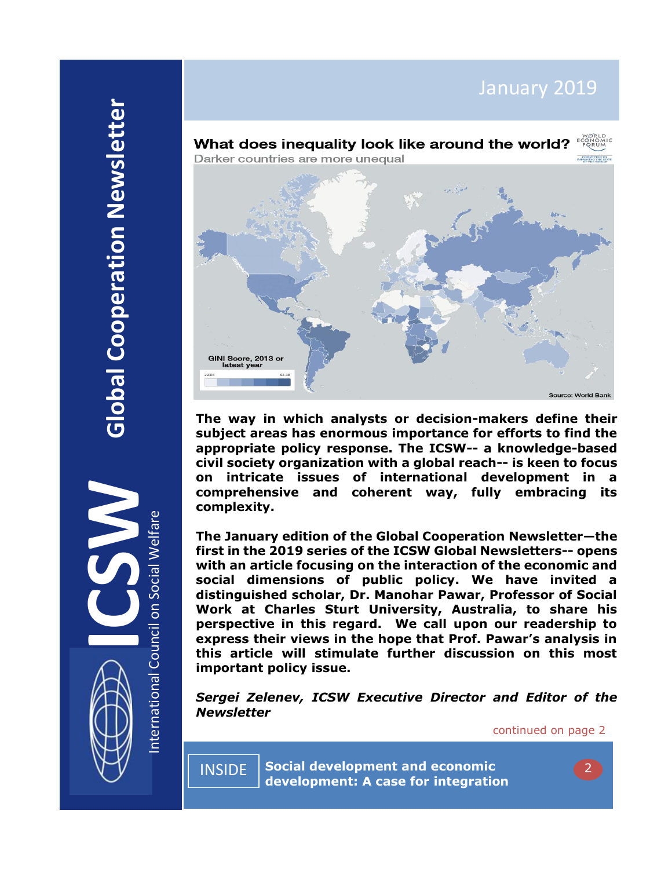# January 2019

International Council on Social Welfare



**The way in which analysts or decision-makers define their subject areas has enormous importance for efforts to find the appropriate policy response. The ICSW-- a knowledge-based civil society organization with a global reach-- is keen to focus on intricate issues of international development in a comprehensive and coherent way, fully embracing its complexity.**

**ICS AND A SOLUTION SOLUTION SOLUTION SOLUTION SOLUTION SOLUTION SOLUTION SOLUTION SOLUTION SOLUTION SOLUTION SOLUTION SOLUTION SOLUTION SOLUTION SOLUTION SOLUTION SOLUTION SOLUTION SOLUTION SOLUTION SOLUTION SOLUTION SOLU The January edition of the Global Cooperation Newsletter—the first in the 2019 series of the ICSW Global Newsletters-- opens with an article focusing on the interaction of the economic and social dimensions of public policy. We have invited a distinguished scholar, Dr. Manohar Pawar, Professor of Social Work at Charles Sturt University, Australia, to share his perspective in this regard. We call upon our readership to express their views in the hope that Prof. Pawar's analysis in this article will stimulate further discussion on this most important policy issue.** 

> *Sergei Zelenev, ICSW Executive Director and Editor of the Newsletter*

> > continued on page 2

INSIDE **Social development and economic development: A case for integration** 2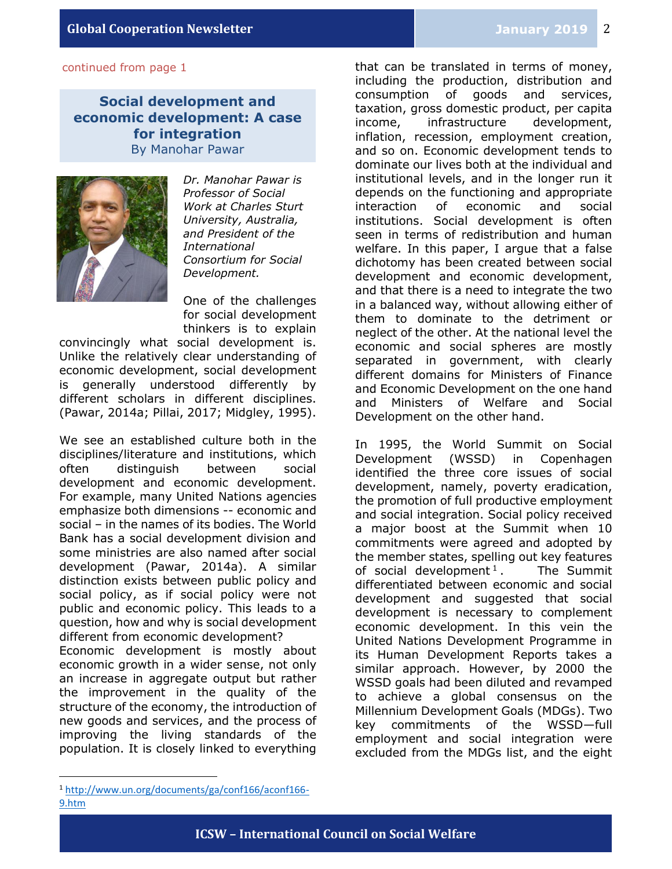#### continued from page 1

# **Social development and economic development: A case for integration** By Manohar Pawar



*Dr. Manohar Pawar is Professor of Social Work at Charles Sturt University, Australia, and President of the International Consortium for Social Development.*

One of the challenges for social development thinkers is to explain

convincingly what social development is. Unlike the relatively clear understanding of economic development, social development is generally understood differently by different scholars in different disciplines. (Pawar, 2014a; Pillai, 2017; Midgley, 1995).

We see an established culture both in the disciplines/literature and institutions, which often distinguish between social development and economic development. For example, many United Nations agencies emphasize both dimensions -- economic and social – in the names of its bodies. The World Bank has a social development division and some ministries are also named after social development (Pawar, 2014a). A similar distinction exists between public policy and social policy, as if social policy were not public and economic policy. This leads to a question, how and why is social development different from economic development?

Economic development is mostly about economic growth in a wider sense, not only an increase in aggregate output but rather the improvement in the quality of the structure of the economy, the introduction of new goods and services, and the process of improving the living standards of the population. It is closely linked to everything

that can be translated in terms of money, including the production, distribution and consumption of goods and services, taxation, gross domestic product, per capita income, infrastructure development, inflation, recession, employment creation, and so on. Economic development tends to dominate our lives both at the individual and institutional levels, and in the longer run it depends on the functioning and appropriate interaction of economic and social institutions. Social development is often seen in terms of redistribution and human welfare. In this paper, I argue that a false dichotomy has been created between social development and economic development, and that there is a need to integrate the two in a balanced way, without allowing either of them to dominate to the detriment or neglect of the other. At the national level the economic and social spheres are mostly separated in government, with clearly different domains for Ministers of Finance and Economic Development on the one hand and Ministers of Welfare and Social Development on the other hand.

In 1995, the World Summit on Social Development (WSSD) in Copenhagen identified the three core issues of social development, namely, poverty eradication, the promotion of full productive employment and social integration. Social policy received a major boost at the Summit when 10 commitments were agreed and adopted by the member states, spelling out key features of social development  $1$ . . The Summit differentiated between economic and social development and suggested that social development is necessary to complement economic development. In this vein the United Nations Development Programme in its Human Development Reports takes a similar approach. However, by 2000 the WSSD goals had been diluted and revamped to achieve a global consensus on the Millennium Development Goals (MDGs). Two key commitments of the WSSD—full employment and social integration were excluded from the MDGs list, and the eight

-

<sup>1</sup> [http://www.un.org/documents/ga/conf166/aconf166-](http://www.un.org/documents/ga/conf166/aconf166-9.htm) [9.htm](http://www.un.org/documents/ga/conf166/aconf166-9.htm)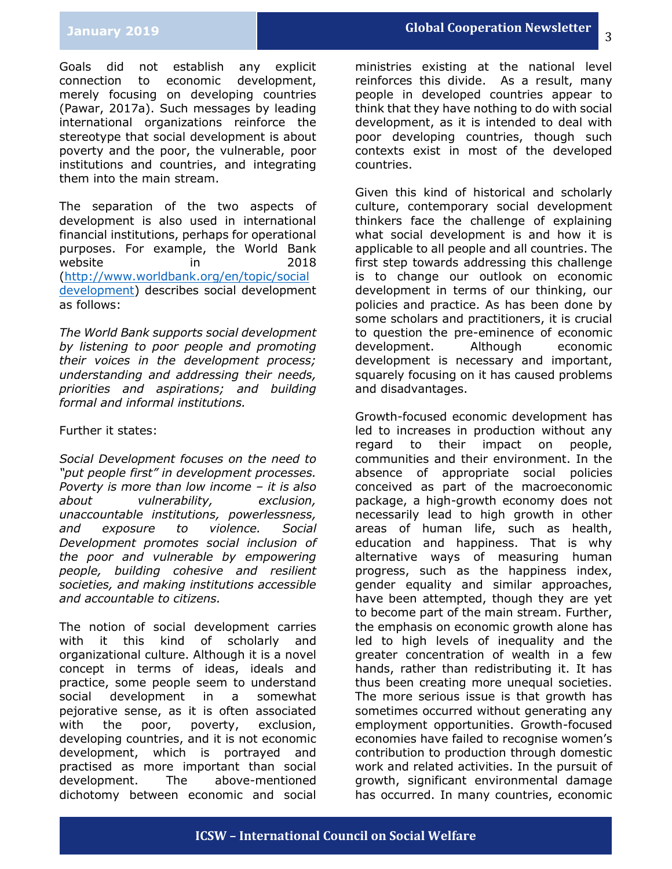3

## **January 2019**

Goals did not establish any explicit connection to economic development, merely focusing on developing countries (Pawar, 2017a). Such messages by leading international organizations reinforce the stereotype that social development is about poverty and the poor, the vulnerable, poor institutions and countries, and integrating them into the main stream.

The separation of the two aspects of development is also used in international financial institutions, perhaps for operational purposes. For example, the World Bank website in 2018 [\(http://www.worldbank.org/en/topic/social](http://www.worldbank.org/en/topic/socialdevelopment) [development\)](http://www.worldbank.org/en/topic/socialdevelopment) describes social development as follows:

*The World Bank supports social development by listening to poor people and promoting their voices in the development process; understanding and addressing their needs, priorities and aspirations; and building formal and informal institutions.* 

#### Further it states:

*Social Development focuses on the need to "put people first" in development processes. Poverty is more than low income – it is also about vulnerability, exclusion, unaccountable institutions, powerlessness, and exposure to violence. Social Development promotes social inclusion of the poor and vulnerable by empowering people, building cohesive and resilient societies, and making institutions accessible and accountable to citizens.*

The notion of social development carries with it this kind of scholarly and organizational culture. Although it is a novel concept in terms of ideas, ideals and practice, some people seem to understand social development in a somewhat pejorative sense, as it is often associated with the poor, poverty, exclusion, developing countries, and it is not economic development, which is portrayed and practised as more important than social development. The above-mentioned dichotomy between economic and social

ministries existing at the national level reinforces this divide. As a result, many people in developed countries appear to think that they have nothing to do with social development, as it is intended to deal with poor developing countries, though such contexts exist in most of the developed countries.

Given this kind of historical and scholarly culture, contemporary social development thinkers face the challenge of explaining what social development is and how it is applicable to all people and all countries. The first step towards addressing this challenge is to change our outlook on economic development in terms of our thinking, our policies and practice. As has been done by some scholars and practitioners, it is crucial to question the pre-eminence of economic development. Although economic development is necessary and important, squarely focusing on it has caused problems and disadvantages.

Growth-focused economic development has led to increases in production without any regard to their impact on people, communities and their environment. In the absence of appropriate social policies conceived as part of the macroeconomic package, a high-growth economy does not necessarily lead to high growth in other areas of human life, such as health, education and happiness. That is why alternative ways of measuring human progress, such as the happiness index, gender equality and similar approaches, have been attempted, though they are yet to become part of the main stream. Further, the emphasis on economic growth alone has led to high levels of inequality and the greater concentration of wealth in a few hands, rather than redistributing it. It has thus been creating more unequal societies. The more serious issue is that growth has sometimes occurred without generating any employment opportunities. Growth-focused economies have failed to recognise women's contribution to production through domestic work and related activities. In the pursuit of growth, significant environmental damage has occurred. In many countries, economic

**ICSW – International Council on Social Welfare**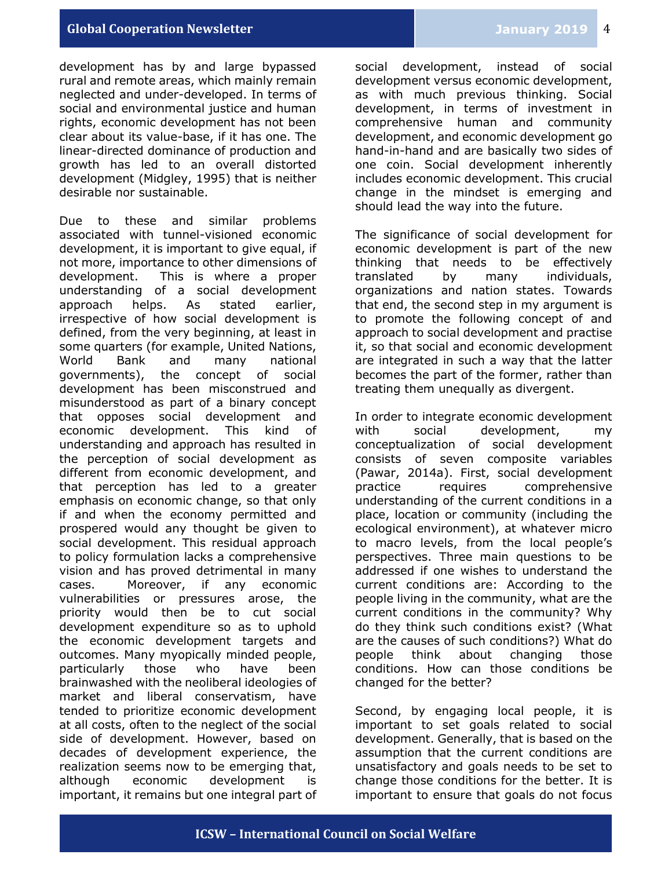development has by and large bypassed rural and remote areas, which mainly remain neglected and under-developed. In terms of social and environmental justice and human rights, economic development has not been clear about its value-base, if it has one. The linear-directed dominance of production and growth has led to an overall distorted development (Midgley, 1995) that is neither desirable nor sustainable.

Due to these and similar problems associated with tunnel-visioned economic development, it is important to give equal, if not more, importance to other dimensions of development. This is where a proper understanding of a social development approach helps. As stated earlier, irrespective of how social development is defined, from the very beginning, at least in some quarters (for example, United Nations, World Bank and many national governments), the concept of social development has been misconstrued and misunderstood as part of a binary concept that opposes social development and economic development. This kind of understanding and approach has resulted in the perception of social development as different from economic development, and that perception has led to a greater emphasis on economic change, so that only if and when the economy permitted and prospered would any thought be given to social development. This residual approach to policy formulation lacks a comprehensive vision and has proved detrimental in many cases. Moreover, if any economic vulnerabilities or pressures arose, the priority would then be to cut social development expenditure so as to uphold the economic development targets and outcomes. Many myopically minded people, particularly those who have been brainwashed with the neoliberal ideologies of market and liberal conservatism, have tended to prioritize economic development at all costs, often to the neglect of the social side of development. However, based on decades of development experience, the realization seems now to be emerging that, although economic development is important, it remains but one integral part of

social development, instead of social development versus economic development, as with much previous thinking. Social development, in terms of investment in comprehensive human and community development, and economic development go hand-in-hand and are basically two sides of one coin. Social development inherently includes economic development. This crucial change in the mindset is emerging and should lead the way into the future.

The significance of social development for economic development is part of the new thinking that needs to be effectively translated by many individuals, organizations and nation states. Towards that end, the second step in my argument is to promote the following concept of and approach to social development and practise it, so that social and economic development are integrated in such a way that the latter becomes the part of the former, rather than treating them unequally as divergent.

In order to integrate economic development with social development, my conceptualization of social development consists of seven composite variables (Pawar, 2014a). First, social development practice requires comprehensive understanding of the current conditions in a place, location or community (including the ecological environment), at whatever micro to macro levels, from the local people's perspectives. Three main questions to be addressed if one wishes to understand the current conditions are: According to the people living in the community, what are the current conditions in the community? Why do they think such conditions exist? (What are the causes of such conditions?) What do people think about changing those conditions. How can those conditions be changed for the better?

Second, by engaging local people, it is important to set goals related to social development. Generally, that is based on the assumption that the current conditions are unsatisfactory and goals needs to be set to change those conditions for the better. It is important to ensure that goals do not focus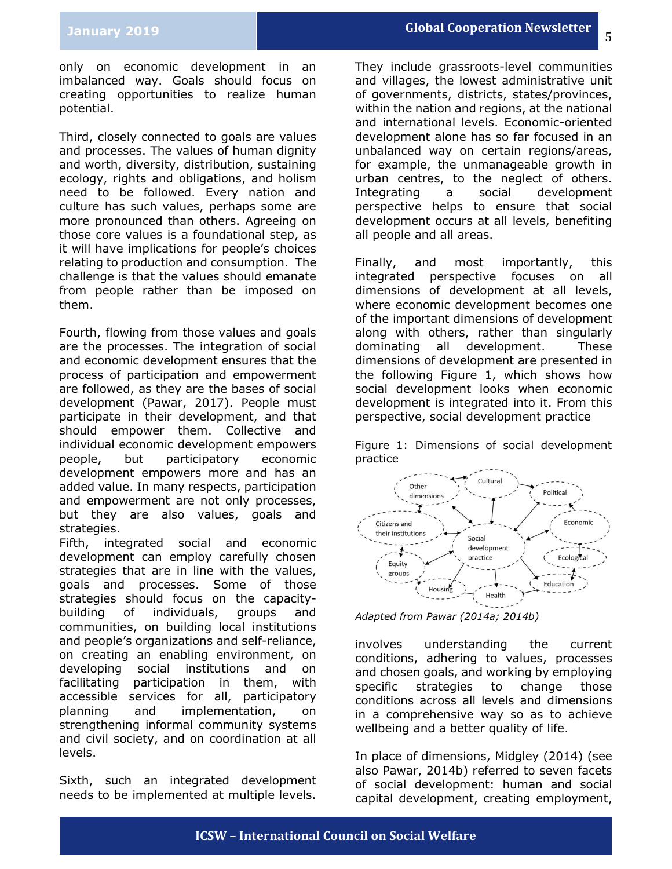only on economic development in an imbalanced way. Goals should focus on creating opportunities to realize human potential.

Third, closely connected to goals are values and processes. The values of human dignity and worth, diversity, distribution, sustaining ecology, rights and obligations, and holism need to be followed. Every nation and culture has such values, perhaps some are more pronounced than others. Agreeing on those core values is a foundational step, as it will have implications for people's choices relating to production and consumption. The challenge is that the values should emanate from people rather than be imposed on them.

Fourth, flowing from those values and goals are the processes. The integration of social and economic development ensures that the process of participation and empowerment are followed, as they are the bases of social development (Pawar, 2017). People must participate in their development, and that should empower them. Collective and individual economic development empowers people, but participatory economic development empowers more and has an added value. In many respects, participation and empowerment are not only processes, but they are also values, goals and strategies.

Fifth, integrated social and economic development can employ carefully chosen strategies that are in line with the values, goals and processes. Some of those strategies should focus on the capacitybuilding of individuals, groups and communities, on building local institutions and people's organizations and self-reliance, on creating an enabling environment, on developing social institutions and on facilitating participation in them, with accessible services for all, participatory planning and implementation, on strengthening informal community systems and civil society, and on coordination at all levels.

Sixth, such an integrated development needs to be implemented at multiple levels. They include grassroots-level communities and villages, the lowest administrative unit of governments, districts, states/provinces, within the nation and regions, at the national and international levels. Economic-oriented development alone has so far focused in an unbalanced way on certain regions/areas, for example, the unmanageable growth in urban centres, to the neglect of others. Integrating a social development perspective helps to ensure that social development occurs at all levels, benefiting all people and all areas.

Finally, and most importantly, this integrated perspective focuses on all dimensions of development at all levels, where economic development becomes one of the important dimensions of development along with others, rather than singularly dominating all development. These dimensions of development are presented in the following Figure 1, which shows how social development looks when economic development is integrated into it. From this perspective, social development practice

Figure 1: Dimensions of social development practice



*Adapted from Pawar (2014a; 2014b)*

involves understanding the current conditions, adhering to values, processes and chosen goals, and working by employing specific strategies to change those conditions across all levels and dimensions in a comprehensive way so as to achieve wellbeing and a better quality of life.

In place of dimensions, Midgley (2014) (see also Pawar, 2014b) referred to seven facets of social development: human and social capital development, creating employment,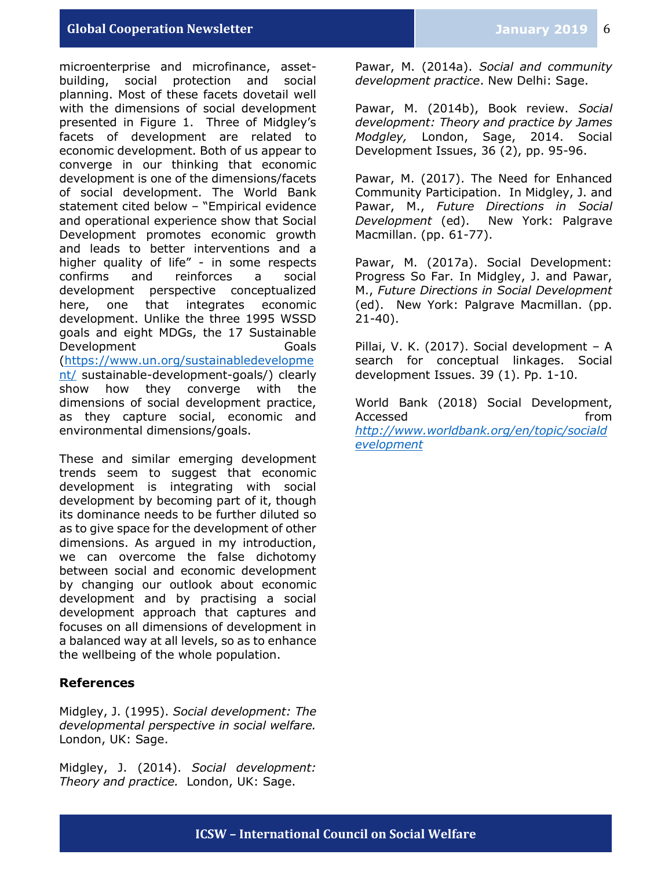### **Global Cooperation Newsletter** 6

microenterprise and microfinance, assetbuilding, social protection and social planning. Most of these facets dovetail well with the dimensions of social development presented in Figure 1. Three of Midgley's facets of development are related to economic development. Both of us appear to converge in our thinking that economic development is one of the dimensions/facets of social development. The World Bank statement cited below – "Empirical evidence and operational experience show that Social Development promotes economic growth and leads to better interventions and a higher quality of life" - in some respects confirms and reinforces a social development perspective conceptualized here, one that integrates economic development. Unlike the three 1995 WSSD goals and eight MDGs, the 17 Sustainable Development Goals [\(https://www.un.org/sustainabledevelopme](https://www.un.org/sustainabledevelopment/) [nt/](https://www.un.org/sustainabledevelopment/) sustainable-development-goals/) clearly show how they converge with the dimensions of social development practice, as they capture social, economic and environmental dimensions/goals.

These and similar emerging development trends seem to suggest that economic development is integrating with social development by becoming part of it, though its dominance needs to be further diluted so as to give space for the development of other dimensions. As argued in my introduction, we can overcome the false dichotomy between social and economic development by changing our outlook about economic development and by practising a social development approach that captures and focuses on all dimensions of development in a balanced way at all levels, so as to enhance the wellbeing of the whole population.

## **References**

Midgley, J. (1995). *Social development: The developmental perspective in social welfare.* London, UK: Sage.

Midgley, J. (2014). *Social development: Theory and practice.* London, UK: Sage.

Pawar, M. (2014a). *Social and community development practice*. New Delhi: Sage.

Pawar, M. (2014b), Book review. *Social development: Theory and practice by James Modgley,* London, Sage, 2014. Social Development Issues, 36 (2), pp. 95-96.

Pawar, M. (2017). The Need for Enhanced Community Participation. In Midgley, J. and Pawar, M., *Future Directions in Social Development* (ed). New York: Palgrave Macmillan. (pp. 61-77).

Pawar, M. (2017a). Social Development: Progress So Far. In Midgley, J. and Pawar, M., *Future Directions in Social Development* (ed). New York: Palgrave Macmillan. (pp. 21-40).

Pillai, V. K. (2017). Social development – A search for conceptual linkages. Social development Issues. 39 (1). Pp. 1-10.

World Bank (2018) Social Development, Accessed from *[http://www.worldbank.org/en/topic/sociald](http://www.worldbank.org/en/topic/socialdevelopment) [evelopment](http://www.worldbank.org/en/topic/socialdevelopment)*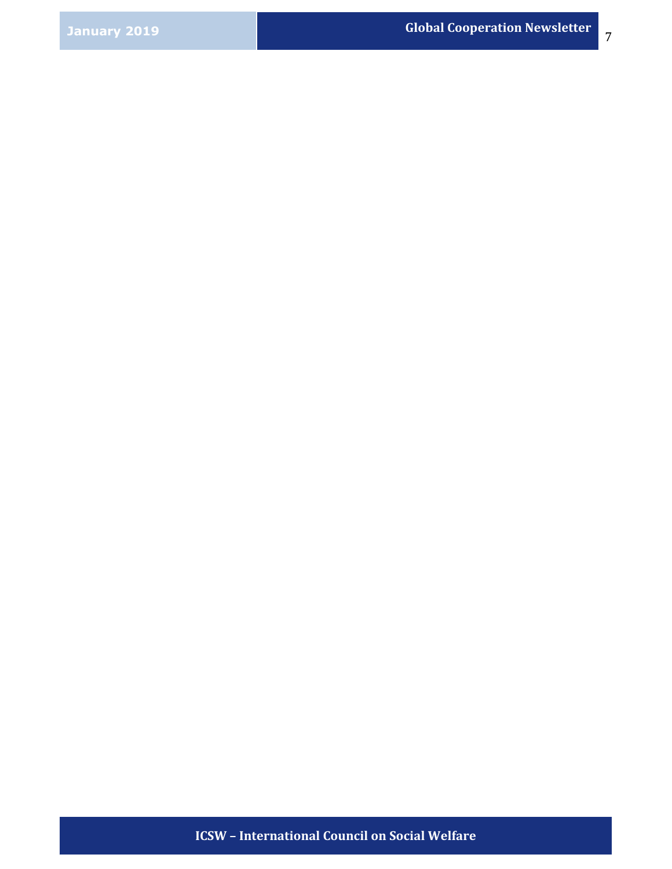**ICSW – International Council on Social Welfare**